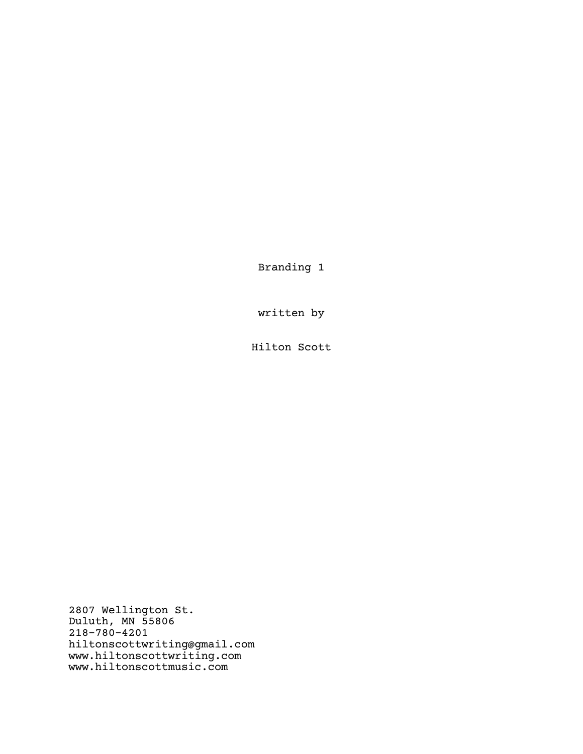Branding 1

written by

Hilton Scott

2807 Wellington St. Duluth, MN 55806 218-780-4201 hiltonscottwriting@gmail.com www.hiltonscottwriting.com www.hiltonscottmusic.com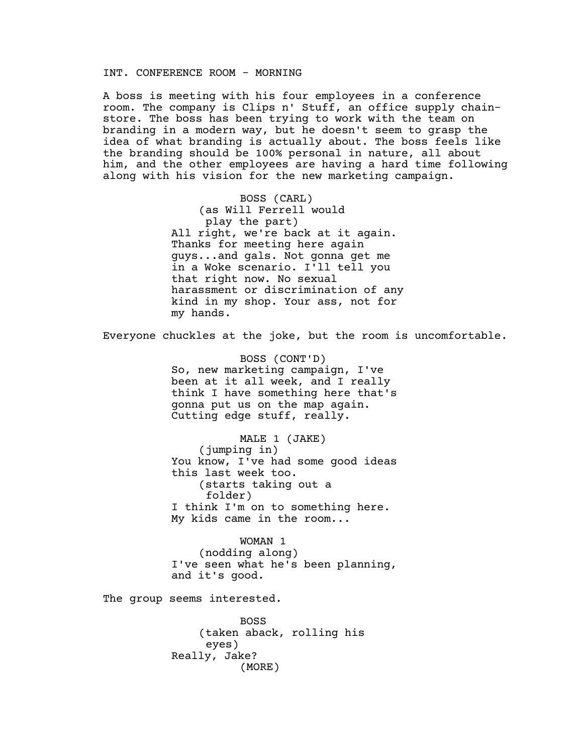# INT. CONFERENCE ROOM - MORNING

A boss is meeting with his four employees in a conference room. The company is Clips n' Stuff, an office supply chainstore. The boss has been trying to work with the team on branding in a modern way, but he doesn't seem to grasp the idea of what branding is actually about. The boss feels like the branding should be 100% personal in nature, all about him, and the other employees are having a hard time following along with his vision for the new marketing campaign.

> BOSS (CARL) (as Will Ferrell would play the part) All right, we're back at it again. Thanks for meeting here again guys...and gals. Not gonna get me in a Woke scenario. I'll tell you that right now. No sexual harassment or discrimination of any kind in my shop. Your ass, not for my hands.

Everyone chuckles at the joke, but the room is uncomfortable.

BOSS (CONT'D) So, new marketing campaign, I've been at it all week, and I really think I have something here that's gonna put us on the map again. Cutting edge stuff, really.

MALE 1 (JAKE) (jumping in) You know, I've had some good ideas this last week too. (starts taking out a folder) I think I'm on to something here. My kids came in the room...

WOMAN 1 (nodding along) I've seen what he's been planning, and it's good.

The group seems interested.

BOSS (taken aback, rolling his eyes) Really, Jake? (MORE)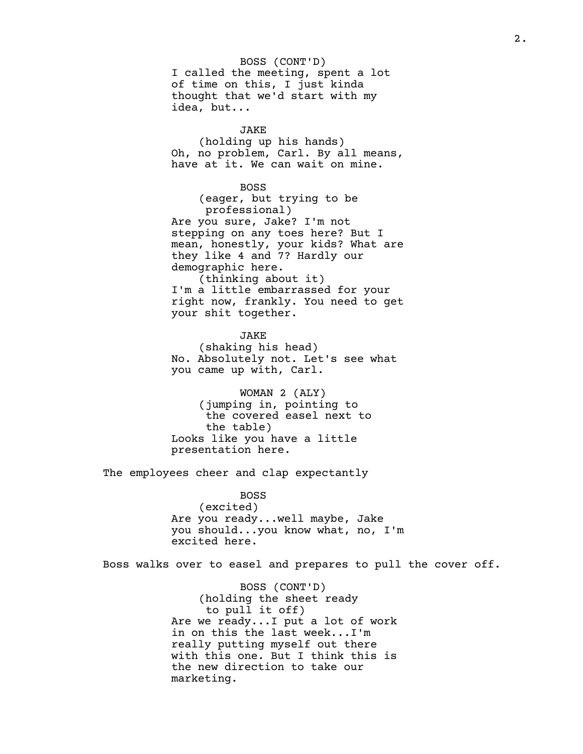BOSS (CONT'D) I called the meeting, spent a lot of time on this, I just kinda thought that we'd start with my idea, but...

# JAKE

(holding up his hands) Oh, no problem, Carl. By all means, have at it. We can wait on mine.

# BOSS

(eager, but trying to be professional) Are you sure, Jake? I'm not stepping on any toes here? But I mean, honestly, your kids? What are they like 4 and 7? Hardly our demographic here. (thinking about it)

I'm a little embarrassed for your right now, frankly. You need to get your shit together.

JAKE (shaking his head) No. Absolutely not. Let's see what you came up with, Carl.

WOMAN 2 (ALY) (jumping in, pointing to the covered easel next to the table) Looks like you have a little presentation here.

The employees cheer and clap expectantly

BOSS (excited) Are you ready...well maybe, Jake you should...you know what, no, I'm excited here.

Boss walks over to easel and prepares to pull the cover off.

BOSS (CONT'D) (holding the sheet ready to pull it off) Are we ready...I put a lot of work in on this the last week...I'm really putting myself out there with this one. But I think this is the new direction to take our marketing.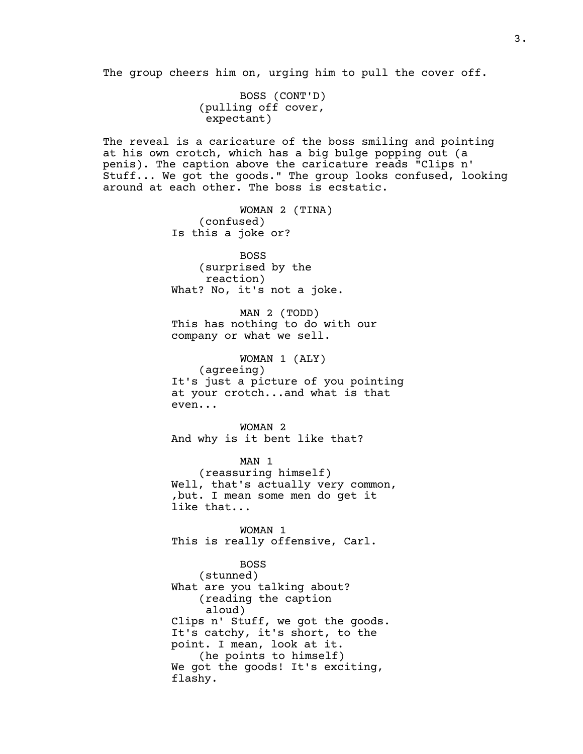The group cheers him on, urging him to pull the cover off.

BOSS (CONT'D) (pulling off cover, expectant)

The reveal is a caricature of the boss smiling and pointing at his own crotch, which has a big bulge popping out (a penis). The caption above the caricature reads "Clips n' Stuff... We got the goods." The group looks confused, looking around at each other. The boss is ecstatic.

> WOMAN 2 (TINA) (confused) Is this a joke or?

BOSS (surprised by the reaction) What? No, it's not a joke.

MAN 2 (TODD) This has nothing to do with our company or what we sell.

WOMAN 1 (ALY) (agreeing) It's just a picture of you pointing at your crotch...and what is that even...

WOMAN 2 And why is it bent like that?

MAN 1 (reassuring himself) Well, that's actually very common, ,but. I mean some men do get it like that...

WOMAN 1 This is really offensive, Carl.

BOSS (stunned) What are you talking about? (reading the caption aloud) Clips n' Stuff, we got the goods. It's catchy, it's short, to the point. I mean, look at it. (he points to himself) We got the goods! It's exciting, flashy.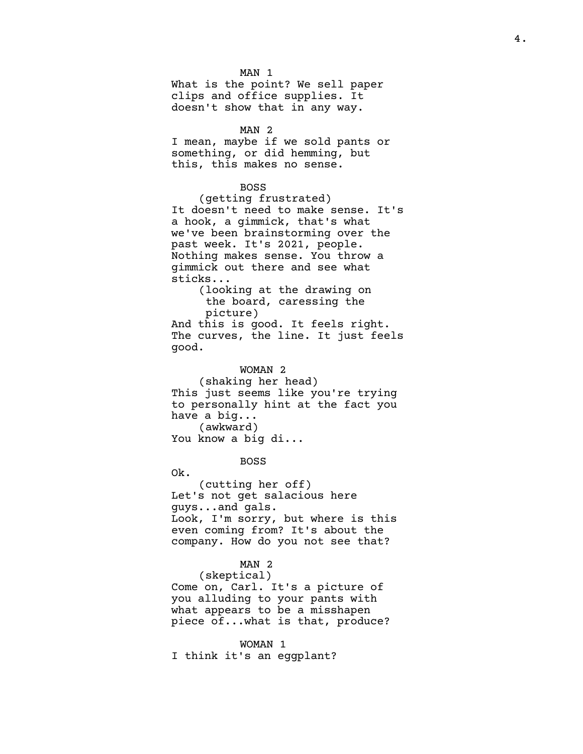MAN 1 What is the point? We sell paper clips and office supplies. It doesn't show that in any way.

# MAN 2

I mean, maybe if we sold pants or something, or did hemming, but this, this makes no sense.

#### BOSS

(getting frustrated) It doesn't need to make sense. It's a hook, a gimmick, that's what we've been brainstorming over the past week. It's 2021, people. Nothing makes sense. You throw a gimmick out there and see what sticks...

(looking at the drawing on the board, caressing the picture)

And this is good. It feels right. The curves, the line. It just feels good.

WOMAN 2

(shaking her head) This just seems like you're trying to personally hint at the fact you have a big... (awkward) You know a big di...

#### BOSS

Ok.

(cutting her off) Let's not get salacious here guys...and gals. Look, I'm sorry, but where is this even coming from? It's about the company. How do you not see that?

## MAN 2

(skeptical)

Come on, Carl. It's a picture of you alluding to your pants with what appears to be a misshapen piece of...what is that, produce?

#### WOMAN 1

I think it's an eggplant?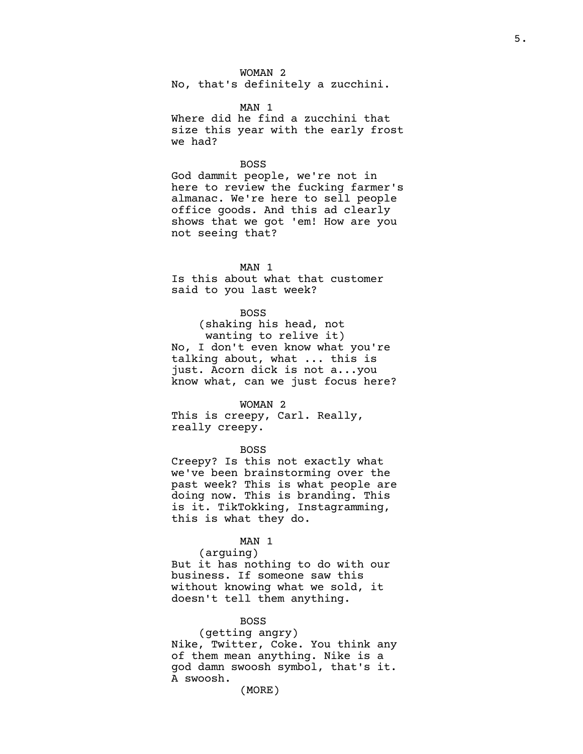WOMAN 2

No, that's definitely a zucchini.

MAN 1

Where did he find a zucchini that size this year with the early frost we had?

# BOSS

God dammit people, we're not in here to review the fucking farmer's almanac. We're here to sell people office goods. And this ad clearly shows that we got 'em! How are you not seeing that?

#### MAN 1

Is this about what that customer said to you last week?

# BOSS

(shaking his head, not wanting to relive it) No, I don't even know what you're talking about, what ... this is just. Acorn dick is not a...you know what, can we just focus here?

#### WOMAN 2

This is creepy, Carl. Really, really creepy.

# BOSS

Creepy? Is this not exactly what we've been brainstorming over the past week? This is what people are doing now. This is branding. This is it. TikTokking, Instagramming, this is what they do.

# MAN 1

(arguing)

But it has nothing to do with our business. If someone saw this without knowing what we sold, it doesn't tell them anything.

## BOSS

(getting angry) Nike, Twitter, Coke. You think any of them mean anything. Nike is a god damn swoosh symbol, that's it. A swoosh.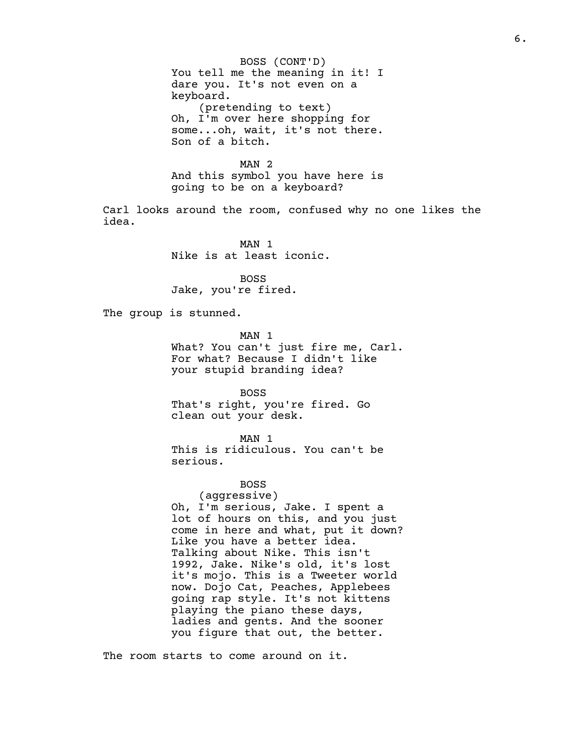BOSS (CONT'D) You tell me the meaning in it! I dare you. It's not even on a keyboard. (pretending to text) Oh, I'm over here shopping for some...oh, wait, it's not there. Son of a bitch.

MAN 2 And this symbol you have here is going to be on a keyboard?

Carl looks around the room, confused why no one likes the idea.

> MAN 1 Nike is at least iconic.

BOSS Jake, you're fired.

The group is stunned.

MAN 1 What? You can't just fire me, Carl. For what? Because I didn't like your stupid branding idea?

BOSS That's right, you're fired. Go clean out your desk.

MAN 1 This is ridiculous. You can't be serious.

BOSS

(aggressive) Oh, I'm serious, Jake. I spent a lot of hours on this, and you just come in here and what, put it down? Like you have a better idea. Talking about Nike. This isn't 1992, Jake. Nike's old, it's lost it's mojo. This is a Tweeter world now. Dojo Cat, Peaches, Applebees going rap style. It's not kittens playing the piano these days, ladies and gents. And the sooner you figure that out, the better.

The room starts to come around on it.